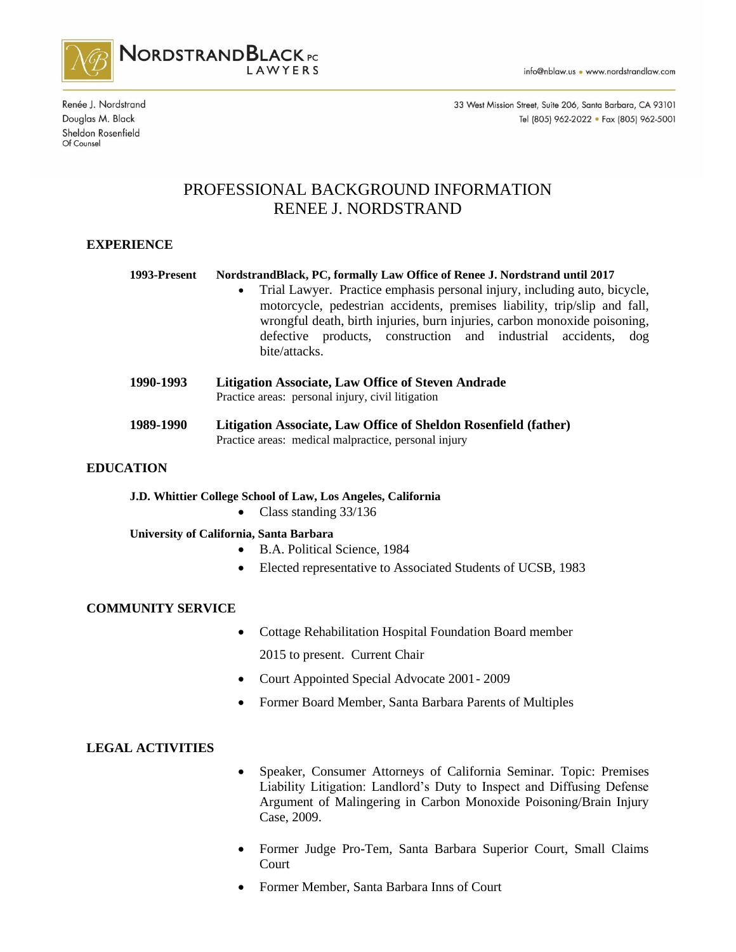

Renée J. Nordstrand Douglas M. Black Sheldon Rosenfield Of Counsel

33 West Mission Street, Suite 206, Santa Barbara, CA 93101 Tel (805) 962-2022 · Fax (805) 962-5001

# PROFESSIONAL BACKGROUND INFORMATION RENEE J. NORDSTRAND

# **EXPERIENCE**

#### **1993-Present NordstrandBlack, PC, formally Law Office of Renee J. Nordstrand until 2017**

- Trial Lawyer. Practice emphasis personal injury, including auto, bicycle, motorcycle, pedestrian accidents, premises liability, trip/slip and fall, wrongful death, birth injuries, burn injuries, carbon monoxide poisoning, defective products, construction and industrial accidents, dog bite/attacks.
- **1990-1993 Litigation Associate, Law Office of Steven Andrade** Practice areas: personal injury, civil litigation
- **1989-1990 Litigation Associate, Law Office of Sheldon Rosenfield (father)** Practice areas: medical malpractice, personal injury

#### **EDUCATION**

**J.D. Whittier College School of Law, Los Angeles, California**

• Class standing 33/136

#### **University of California, Santa Barbara**

- B.A. Political Science, 1984
- Elected representative to Associated Students of UCSB, 1983

## **COMMUNITY SERVICE**

- Cottage Rehabilitation Hospital Foundation Board member 2015 to present. Current Chair
- Court Appointed Special Advocate 2001- 2009
- Former Board Member, Santa Barbara Parents of Multiples

## **LEGAL ACTIVITIES**

- Speaker, Consumer Attorneys of California Seminar. Topic: Premises Liability Litigation: Landlord's Duty to Inspect and Diffusing Defense Argument of Malingering in Carbon Monoxide Poisoning/Brain Injury Case, 2009.
- Former Judge Pro-Tem, Santa Barbara Superior Court, Small Claims Court
- Former Member, Santa Barbara Inns of Court